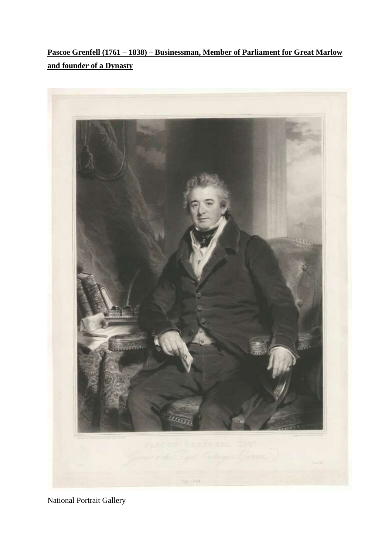**Pascoe Grenfell (1761 – 1838) – Businessman, Member of Parliament for Great Marlow and founder of a Dynasty**



National Portrait Gallery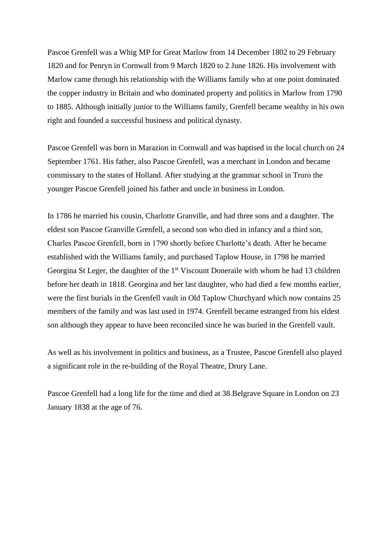Pascoe Grenfell was a Whig MP for Great Marlow from 14 December 1802 to 29 February 1820 and for Penryn in Cornwall from 9 March 1820 to 2 June 1826. His involvement with Marlow came through his relationship with the Williams family who at one point dominated the copper industry in Britain and who dominated property and politics in Marlow from 1790 to 1885. Although initially junior to the Williams family, Grenfell became wealthy in his own right and founded a successful business and political dynasty.

Pascoe Grenfell was born in Marazion in Cornwall and was baptised in the local church on 24 September 1761. His father, also Pascoe Grenfell, was a merchant in London and became commissary to the states of Holland. After studying at the grammar school in Truro the younger Pascoe Grenfell joined his father and uncle in business in London.

In 1786 he married his cousin, Charlotte Granville, and had three sons and a daughter. The eldest son Pascoe Granville Grenfell, a second son who died in infancy and a third son, Charles Pascoe Grenfell, born in 1790 shortly before Charlotte's death. After he became established with the Williams family, and purchased Taplow House, in 1798 he married Georgina St Leger, the daughter of the 1<sup>st</sup> Viscount Doneraile with whom he had 13 children before her death in 1818. Georgina and her last daughter, who had died a few months earlier, were the first burials in the Grenfell vault in Old Taplow Churchyard which now contains 25 members of the family and was last used in 1974. Grenfell became estranged from his eldest son although they appear to have been reconciled since he was buried in the Grenfell vault.

As well as his involvement in politics and business, as a Trustee, Pascoe Grenfell also played a significant role in the re-building of the Royal Theatre, Drury Lane.

Pascoe Grenfell had a long life for the time and died at 38 Belgrave Square in London on 23 January 1838 at the age of 76.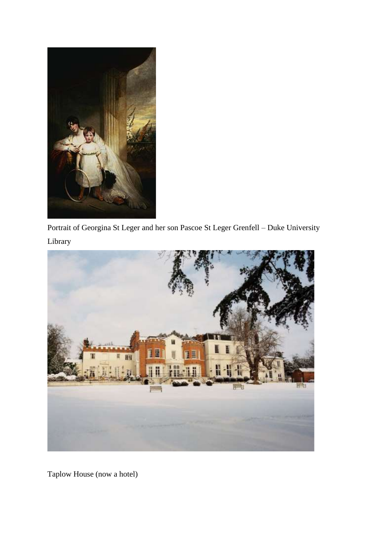

Portrait of Georgina St Leger and her son Pascoe St Leger Grenfell – Duke University Library



Taplow House (now a hotel)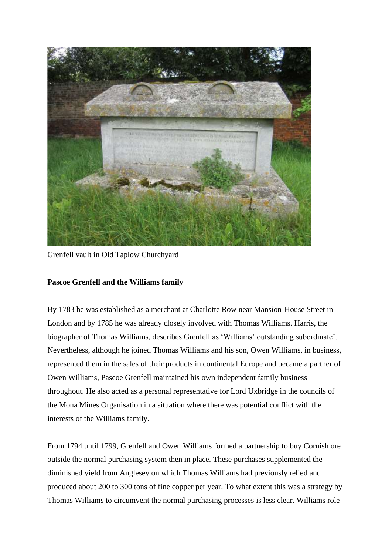

Grenfell vault in Old Taplow Churchyard

## **Pascoe Grenfell and the Williams family**

By 1783 he was established as a merchant at Charlotte Row near Mansion-House Street in London and by 1785 he was already closely involved with Thomas Williams. Harris, the biographer of Thomas Williams, describes Grenfell as 'Williams' outstanding subordinate'. Nevertheless, although he joined Thomas Williams and his son, Owen Williams, in business, represented them in the sales of their products in continental Europe and became a partner of Owen Williams, Pascoe Grenfell maintained his own independent family business throughout. He also acted as a personal representative for Lord Uxbridge in the councils of the Mona Mines Organisation in a situation where there was potential conflict with the interests of the Williams family.

From 1794 until 1799, Grenfell and Owen Williams formed a partnership to buy Cornish ore outside the normal purchasing system then in place. These purchases supplemented the diminished yield from Anglesey on which Thomas Williams had previously relied and produced about 200 to 300 tons of fine copper per year. To what extent this was a strategy by Thomas Williams to circumvent the normal purchasing processes is less clear. Williams role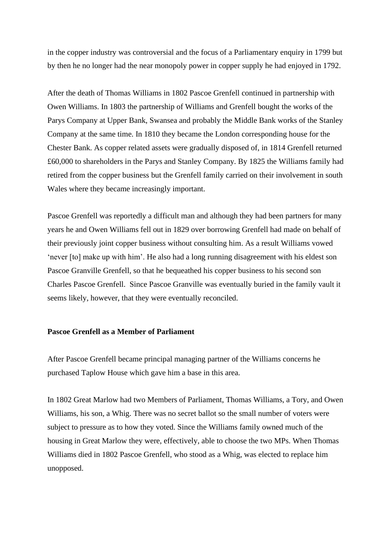in the copper industry was controversial and the focus of a Parliamentary enquiry in 1799 but by then he no longer had the near monopoly power in copper supply he had enjoyed in 1792.

After the death of Thomas Williams in 1802 Pascoe Grenfell continued in partnership with Owen Williams. In 1803 the partnership of Williams and Grenfell bought the works of the Parys Company at Upper Bank, Swansea and probably the Middle Bank works of the Stanley Company at the same time. In 1810 they became the London corresponding house for the Chester Bank. As copper related assets were gradually disposed of, in 1814 Grenfell returned £60,000 to shareholders in the Parys and Stanley Company. By 1825 the Williams family had retired from the copper business but the Grenfell family carried on their involvement in south Wales where they became increasingly important.

Pascoe Grenfell was reportedly a difficult man and although they had been partners for many years he and Owen Williams fell out in 1829 over borrowing Grenfell had made on behalf of their previously joint copper business without consulting him. As a result Williams vowed 'never [to] make up with him'. He also had a long running disagreement with his eldest son Pascoe Granville Grenfell, so that he bequeathed his copper business to his second son Charles Pascoe Grenfell. Since Pascoe Granville was eventually buried in the family vault it seems likely, however, that they were eventually reconciled.

## **Pascoe Grenfell as a Member of Parliament**

After Pascoe Grenfell became principal managing partner of the Williams concerns he purchased Taplow House which gave him a base in this area.

In 1802 Great Marlow had two Members of Parliament, Thomas Williams, a Tory, and Owen Williams, his son, a Whig. There was no secret ballot so the small number of voters were subject to pressure as to how they voted. Since the Williams family owned much of the housing in Great Marlow they were, effectively, able to choose the two MPs. When Thomas Williams died in 1802 Pascoe Grenfell, who stood as a Whig, was elected to replace him unopposed.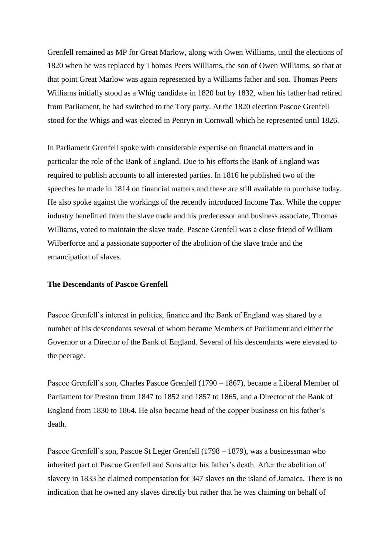Grenfell remained as MP for Great Marlow, along with Owen Williams, until the elections of 1820 when he was replaced by Thomas Peers Williams, the son of Owen Williams, so that at that point Great Marlow was again represented by a Williams father and son. Thomas Peers Williams initially stood as a Whig candidate in 1820 but by 1832, when his father had retired from Parliament, he had switched to the Tory party. At the 1820 election Pascoe Grenfell stood for the Whigs and was elected in Penryn in Cornwall which he represented until 1826.

In Parliament Grenfell spoke with considerable expertise on financial matters and in particular the role of the Bank of England. Due to his efforts the Bank of England was required to publish accounts to all interested parties. In 1816 he published two of the speeches he made in 1814 on financial matters and these are still available to purchase today. He also spoke against the workings of the recently introduced Income Tax. While the copper industry benefitted from the slave trade and his predecessor and business associate, Thomas Williams, voted to maintain the slave trade, Pascoe Grenfell was a close friend of William Wilberforce and a passionate supporter of the abolition of the slave trade and the emancipation of slaves.

## **The Descendants of Pascoe Grenfell**

Pascoe Grenfell's interest in politics, finance and the Bank of England was shared by a number of his descendants several of whom became Members of Parliament and either the Governor or a Director of the Bank of England. Several of his descendants were elevated to the peerage.

Pascoe Grenfell's son, Charles Pascoe Grenfell (1790 – 1867), became a Liberal Member of Parliament for Preston from 1847 to 1852 and 1857 to 1865, and a Director of the Bank of England from 1830 to 1864. He also became head of the copper business on his father's death.

Pascoe Grenfell's son, Pascoe St Leger Grenfell (1798 – 1879), was a businessman who inherited part of Pascoe Grenfell and Sons after his father's death. After the abolition of slavery in 1833 he claimed compensation for 347 slaves on the island of Jamaica. There is no indication that he owned any slaves directly but rather that he was claiming on behalf of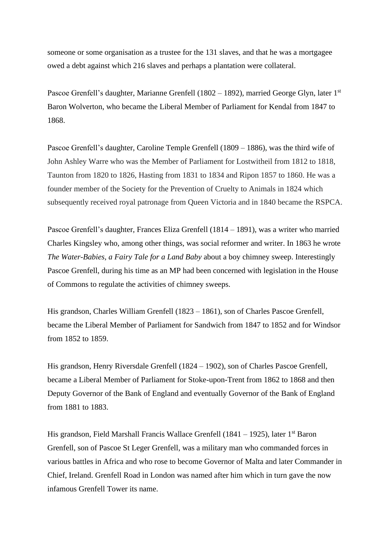someone or some organisation as a trustee for the 131 slaves, and that he was a mortgagee owed a debt against which 216 slaves and perhaps a plantation were collateral.

Pascoe Grenfell's daughter, Marianne Grenfell (1802 – 1892), married George Glyn, later 1<sup>st</sup> Baron Wolverton, who became the Liberal Member of Parliament for Kendal from 1847 to 1868.

Pascoe Grenfell's daughter, Caroline Temple Grenfell (1809 – 1886), was the third wife of John Ashley Warre who was the Member of Parliament for Lostwitheil from 1812 to 1818, Taunton from 1820 to 1826, Hasting from 1831 to 1834 and Ripon 1857 to 1860. He was a founder member of the Society for the Prevention of Cruelty to Animals in 1824 which subsequently received royal patronage from Queen Victoria and in 1840 became the RSPCA.

Pascoe Grenfell's daughter, Frances Eliza Grenfell (1814 – 1891), was a writer who married Charles Kingsley who, among other things, was social reformer and writer. In 1863 he wrote *The Water-Babies, a Fairy Tale for a Land Baby* about a boy chimney sweep. Interestingly Pascoe Grenfell, during his time as an MP had been concerned with legislation in the House of Commons to regulate the activities of chimney sweeps.

His grandson, Charles William Grenfell (1823 – 1861), son of Charles Pascoe Grenfell, became the Liberal Member of Parliament for Sandwich from 1847 to 1852 and for Windsor from 1852 to 1859.

His grandson, Henry Riversdale Grenfell (1824 – 1902), son of Charles Pascoe Grenfell, became a Liberal Member of Parliament for Stoke-upon-Trent from 1862 to 1868 and then Deputy Governor of the Bank of England and eventually Governor of the Bank of England from 1881 to 1883.

His grandson, Field Marshall Francis Wallace Grenfell (1841 – 1925), later 1<sup>st</sup> Baron Grenfell, son of Pascoe St Leger Grenfell, was a military man who commanded forces in various battles in Africa and who rose to become Governor of Malta and later Commander in Chief, Ireland. Grenfell Road in London was named after him which in turn gave the now infamous Grenfell Tower its name.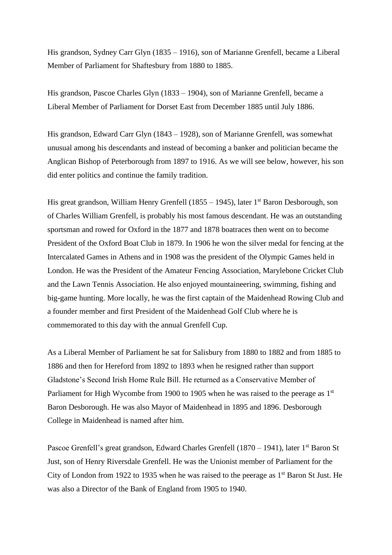His grandson, Sydney Carr Glyn (1835 – 1916), son of Marianne Grenfell, became a Liberal Member of Parliament for Shaftesbury from 1880 to 1885.

His grandson, Pascoe Charles Glyn (1833 – 1904), son of Marianne Grenfell, became a Liberal Member of Parliament for Dorset East from December 1885 until July 1886.

His grandson, Edward Carr Glyn (1843 – 1928), son of Marianne Grenfell, was somewhat unusual among his descendants and instead of becoming a banker and politician became the Anglican Bishop of Peterborough from 1897 to 1916. As we will see below, however, his son did enter politics and continue the family tradition.

His great grandson, William Henry Grenfell (1855 – 1945), later  $1<sup>st</sup>$  Baron Desborough, son of Charles William Grenfell, is probably his most famous descendant. He was an outstanding sportsman and rowed for Oxford in the 1877 and 1878 boatraces then went on to become President of the Oxford Boat Club in 1879. In 1906 he won the silver medal for fencing at the Intercalated Games in Athens and in 1908 was the president of the Olympic Games held in London. He was the President of the Amateur Fencing Association, Marylebone Cricket Club and the Lawn Tennis Association. He also enjoyed mountaineering, swimming, fishing and big-game hunting. More locally, he was the first captain of the Maidenhead Rowing Club and a founder member and first President of the Maidenhead Golf Club where he is commemorated to this day with the annual Grenfell Cup.

As a Liberal Member of Parliament he sat for Salisbury from 1880 to 1882 and from 1885 to 1886 and then for Hereford from 1892 to 1893 when he resigned rather than support Gladstone's Second Irish Home Rule Bill. He returned as a Conservative Member of Parliament for High Wycombe from 1900 to 1905 when he was raised to the peerage as 1<sup>st</sup> Baron Desborough. He was also Mayor of Maidenhead in 1895 and 1896. Desborough College in Maidenhead is named after him.

Pascoe Grenfell's great grandson, Edward Charles Grenfell (1870 – 1941), later 1<sup>st</sup> Baron St Just, son of Henry Riversdale Grenfell. He was the Unionist member of Parliament for the City of London from 1922 to 1935 when he was raised to the peerage as 1st Baron St Just. He was also a Director of the Bank of England from 1905 to 1940.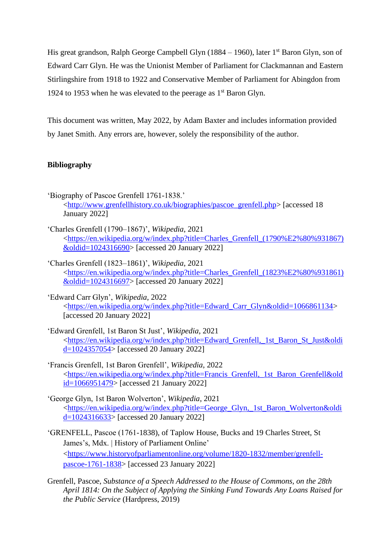His great grandson, Ralph George Campbell Glyn (1884 – 1960), later 1<sup>st</sup> Baron Glyn, son of Edward Carr Glyn. He was the Unionist Member of Parliament for Clackmannan and Eastern Stirlingshire from 1918 to 1922 and Conservative Member of Parliament for Abingdon from 1924 to 1953 when he was elevated to the peerage as  $1<sup>st</sup>$  Baron Glyn.

This document was written, May 2022, by Adam Baxter and includes information provided by Janet Smith. Any errors are, however, solely the responsibility of the author.

## **Bibliography**

- 'Biography of Pascoe Grenfell 1761-1838.' [<http://www.grenfellhistory.co.uk/biographies/pascoe\\_grenfell.php>](http://www.grenfellhistory.co.uk/biographies/pascoe_grenfell.php) [accessed 18 January 2022]
- 'Charles Grenfell (1790–1867)', *Wikipedia*, 2021 [<https://en.wikipedia.org/w/index.php?title=Charles\\_Grenfell\\_\(1790%E2%80%931867\)](https://en.wikipedia.org/w/index.php?title=Charles_Grenfell_(1790%E2%80%931867)&oldid=1024316690) [&oldid=1024316690>](https://en.wikipedia.org/w/index.php?title=Charles_Grenfell_(1790%E2%80%931867)&oldid=1024316690) [accessed 20 January 2022]
- 'Charles Grenfell (1823–1861)', *Wikipedia*, 2021 [<https://en.wikipedia.org/w/index.php?title=Charles\\_Grenfell\\_\(1823%E2%80%931861\)](https://en.wikipedia.org/w/index.php?title=Charles_Grenfell_(1823%E2%80%931861)&oldid=1024316697) [&oldid=1024316697>](https://en.wikipedia.org/w/index.php?title=Charles_Grenfell_(1823%E2%80%931861)&oldid=1024316697) [accessed 20 January 2022]
- 'Edward Carr Glyn', *Wikipedia*, 2022 [<https://en.wikipedia.org/w/index.php?title=Edward\\_Carr\\_Glyn&oldid=1066861134>](https://en.wikipedia.org/w/index.php?title=Edward_Carr_Glyn&oldid=1066861134) [accessed 20 January 2022]
- 'Edward Grenfell, 1st Baron St Just', *Wikipedia*, 2021 [<https://en.wikipedia.org/w/index.php?title=Edward\\_Grenfell,\\_1st\\_Baron\\_St\\_Just&oldi](https://en.wikipedia.org/w/index.php?title=Edward_Grenfell,_1st_Baron_St_Just&oldid=1024357054) [d=1024357054>](https://en.wikipedia.org/w/index.php?title=Edward_Grenfell,_1st_Baron_St_Just&oldid=1024357054) [accessed 20 January 2022]
- 'Francis Grenfell, 1st Baron Grenfell', *Wikipedia*, 2022 [<https://en.wikipedia.org/w/index.php?title=Francis\\_Grenfell,\\_1st\\_Baron\\_Grenfell&old](https://en.wikipedia.org/w/index.php?title=Francis_Grenfell,_1st_Baron_Grenfell&oldid=1066951479) [id=1066951479>](https://en.wikipedia.org/w/index.php?title=Francis_Grenfell,_1st_Baron_Grenfell&oldid=1066951479) [accessed 21 January 2022]
- 'George Glyn, 1st Baron Wolverton', *Wikipedia*, 2021 [<https://en.wikipedia.org/w/index.php?title=George\\_Glyn,\\_1st\\_Baron\\_Wolverton&oldi](https://en.wikipedia.org/w/index.php?title=George_Glyn,_1st_Baron_Wolverton&oldid=1024316633) [d=1024316633>](https://en.wikipedia.org/w/index.php?title=George_Glyn,_1st_Baron_Wolverton&oldid=1024316633) [accessed 20 January 2022]
- 'GRENFELL, Pascoe (1761-1838), of Taplow House, Bucks and 19 Charles Street, St James's, Mdx. | History of Parliament Online' [<https://www.historyofparliamentonline.org/volume/1820-1832/member/grenfell](https://www.historyofparliamentonline.org/volume/1820-1832/member/grenfell-pascoe-1761-1838)[pascoe-1761-1838>](https://www.historyofparliamentonline.org/volume/1820-1832/member/grenfell-pascoe-1761-1838) [accessed 23 January 2022]
- Grenfell, Pascoe, *Substance of a Speech Addressed to the House of Commons, on the 28th April 1814: On the Subject of Applying the Sinking Fund Towards Any Loans Raised for the Public Service* (Hardpress, 2019)